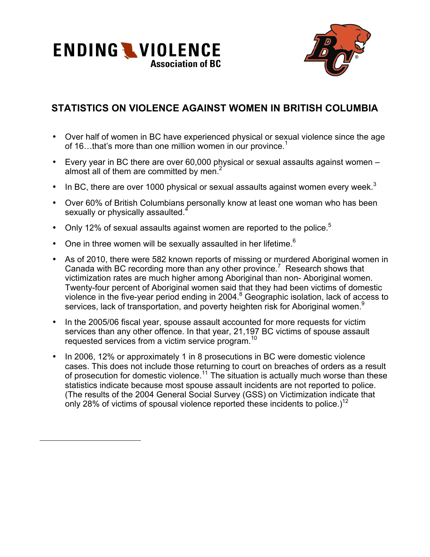



## **STATISTICS ON VIOLENCE AGAINST WOMEN IN BRITISH COLUMBIA**

- Over half of women in BC have experienced physical or sexual violence since the age of 16. that's more than one million women in our province.<sup>1</sup>
- Every year in BC there are over 60,000 physical or sexual assaults against women almost all of them are committed by men. $<sup>2</sup>$ </sup>
- In BC, there are over 1000 physical or sexual assaults against women every week.<sup>3</sup>
- Over 60% of British Columbians personally know at least one woman who has been sexually or physically assaulted.<sup>4</sup>
- Only 12% of sexual assaults against women are reported to the police. $5$
- One in three women will be sexually assaulted in her lifetime. $6$

 $\overline{a}$ 

- As of 2010, there were 582 known reports of missing or murdered Aboriginal women in Canada with BC recording more than any other province.<sup>7</sup> Research shows that victimization rates are much higher among Aboriginal than non- Aboriginal women. Twenty-four percent of Aboriginal women said that they had been victims of domestic violence in the five-year period ending in 2004.<sup>8</sup> Geographic isolation, lack of access to services, lack of transportation, and poverty heighten risk for Aboriginal women.<sup>9</sup>
- In the 2005/06 fiscal year, spouse assault accounted for more requests for victim services than any other offence. In that year, 21,197 BC victims of spouse assault requested services from a victim service program.<sup>10</sup>
- In 2006, 12% or approximately 1 in 8 prosecutions in BC were domestic violence cases. This does not include those returning to court on breaches of orders as a result of prosecution for domestic violence.<sup>11</sup> The situation is actually much worse than these statistics indicate because most spouse assault incidents are not reported to police. (The results of the 2004 General Social Survey (GSS) on Victimization indicate that only 28% of victims of spousal violence reported these incidents to police.)<sup>12</sup>